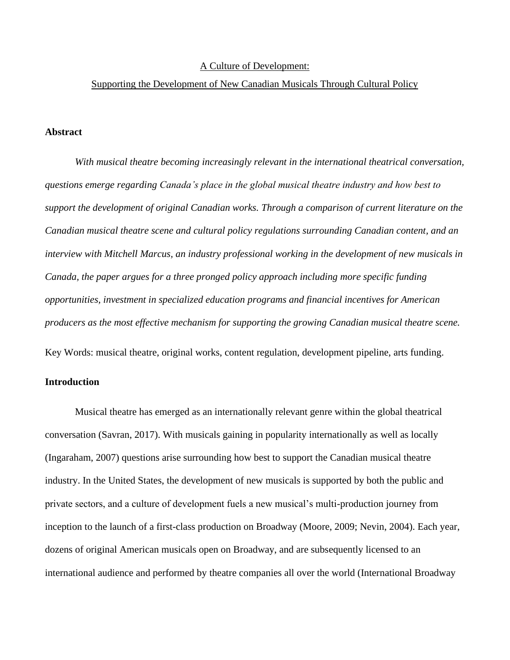#### A Culture of Development:

#### Supporting the Development of New Canadian Musicals Through Cultural Policy

## **Abstract**

*With musical theatre becoming increasingly relevant in the international theatrical conversation, questions emerge regarding Canada's place in the global musical theatre industry and how best to support the development of original Canadian works. Through a comparison of current literature on the Canadian musical theatre scene and cultural policy regulations surrounding Canadian content, and an interview with Mitchell Marcus, an industry professional working in the development of new musicals in Canada, the paper argues for a three pronged policy approach including more specific funding opportunities, investment in specialized education programs and financial incentives for American producers as the most effective mechanism for supporting the growing Canadian musical theatre scene.* Key Words: musical theatre, original works, content regulation, development pipeline, arts funding.

# **Introduction**

Musical theatre has emerged as an internationally relevant genre within the global theatrical conversation (Savran, 2017). With musicals gaining in popularity internationally as well as locally (Ingaraham, 2007) questions arise surrounding how best to support the Canadian musical theatre industry. In the United States, the development of new musicals is supported by both the public and private sectors, and a culture of development fuels a new musical's multi-production journey from inception to the launch of a first-class production on Broadway (Moore, 2009; Nevin, 2004). Each year, dozens of original American musicals open on Broadway, and are subsequently licensed to an international audience and performed by theatre companies all over the world (International Broadway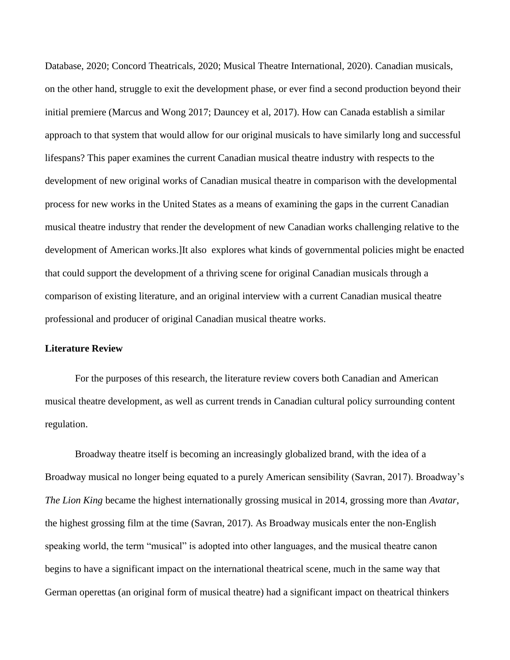Database, 2020; Concord Theatricals, 2020; Musical Theatre International, 2020). Canadian musicals, on the other hand, struggle to exit the development phase, or ever find a second production beyond their initial premiere (Marcus and Wong 2017; Dauncey et al, 2017). How can Canada establish a similar approach to that system that would allow for our original musicals to have similarly long and successful lifespans? This paper examines the current Canadian musical theatre industry with respects to the development of new original works of Canadian musical theatre in comparison with the developmental process for new works in the United States as a means of examining the gaps in the current Canadian musical theatre industry that render the development of new Canadian works challenging relative to the development of American works.]It also explores what kinds of governmental policies might be enacted that could support the development of a thriving scene for original Canadian musicals through a comparison of existing literature, and an original interview with a current Canadian musical theatre professional and producer of original Canadian musical theatre works.

# **Literature Review**

For the purposes of this research, the literature review covers both Canadian and American musical theatre development, as well as current trends in Canadian cultural policy surrounding content regulation.

Broadway theatre itself is becoming an increasingly globalized brand, with the idea of a Broadway musical no longer being equated to a purely American sensibility (Savran, 2017). Broadway's *The Lion King* became the highest internationally grossing musical in 2014, grossing more than *Avatar*, the highest grossing film at the time (Savran, 2017). As Broadway musicals enter the non-English speaking world, the term "musical" is adopted into other languages, and the musical theatre canon begins to have a significant impact on the international theatrical scene, much in the same way that German operettas (an original form of musical theatre) had a significant impact on theatrical thinkers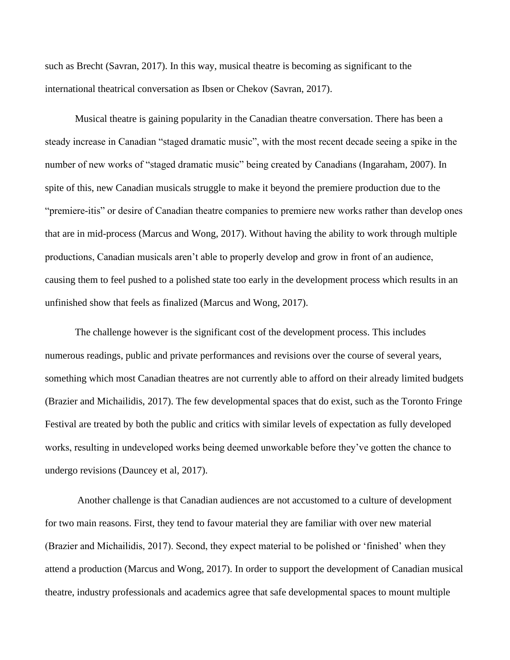such as Brecht (Savran, 2017). In this way, musical theatre is becoming as significant to the international theatrical conversation as Ibsen or Chekov (Savran, 2017).

Musical theatre is gaining popularity in the Canadian theatre conversation. There has been a steady increase in Canadian "staged dramatic music", with the most recent decade seeing a spike in the number of new works of "staged dramatic music" being created by Canadians (Ingaraham, 2007). In spite of this, new Canadian musicals struggle to make it beyond the premiere production due to the "premiere-itis" or desire of Canadian theatre companies to premiere new works rather than develop ones that are in mid-process (Marcus and Wong, 2017). Without having the ability to work through multiple productions, Canadian musicals aren't able to properly develop and grow in front of an audience, causing them to feel pushed to a polished state too early in the development process which results in an unfinished show that feels as finalized (Marcus and Wong, 2017).

The challenge however is the significant cost of the development process. This includes numerous readings, public and private performances and revisions over the course of several years, something which most Canadian theatres are not currently able to afford on their already limited budgets (Brazier and Michailidis, 2017). The few developmental spaces that do exist, such as the Toronto Fringe Festival are treated by both the public and critics with similar levels of expectation as fully developed works, resulting in undeveloped works being deemed unworkable before they've gotten the chance to undergo revisions (Dauncey et al, 2017).

Another challenge is that Canadian audiences are not accustomed to a culture of development for two main reasons. First, they tend to favour material they are familiar with over new material (Brazier and Michailidis, 2017). Second, they expect material to be polished or 'finished' when they attend a production (Marcus and Wong, 2017). In order to support the development of Canadian musical theatre, industry professionals and academics agree that safe developmental spaces to mount multiple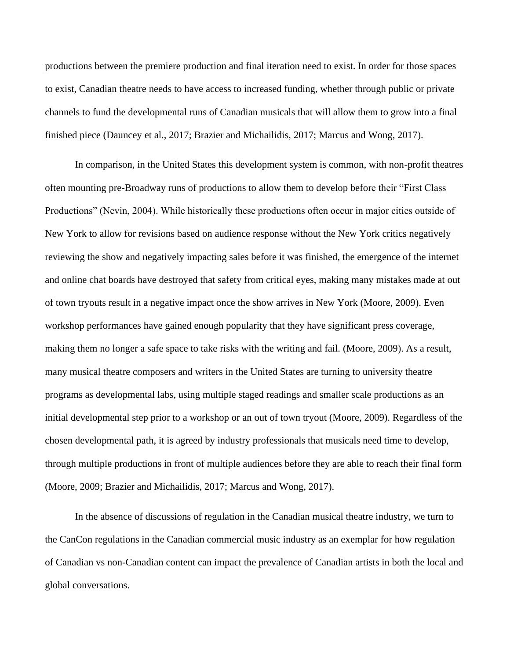productions between the premiere production and final iteration need to exist. In order for those spaces to exist, Canadian theatre needs to have access to increased funding, whether through public or private channels to fund the developmental runs of Canadian musicals that will allow them to grow into a final finished piece (Dauncey et al., 2017; Brazier and Michailidis, 2017; Marcus and Wong, 2017).

In comparison, in the United States this development system is common, with non-profit theatres often mounting pre-Broadway runs of productions to allow them to develop before their "First Class Productions" (Nevin, 2004). While historically these productions often occur in major cities outside of New York to allow for revisions based on audience response without the New York critics negatively reviewing the show and negatively impacting sales before it was finished, the emergence of the internet and online chat boards have destroyed that safety from critical eyes, making many mistakes made at out of town tryouts result in a negative impact once the show arrives in New York (Moore, 2009). Even workshop performances have gained enough popularity that they have significant press coverage, making them no longer a safe space to take risks with the writing and fail. (Moore, 2009). As a result, many musical theatre composers and writers in the United States are turning to university theatre programs as developmental labs, using multiple staged readings and smaller scale productions as an initial developmental step prior to a workshop or an out of town tryout (Moore, 2009). Regardless of the chosen developmental path, it is agreed by industry professionals that musicals need time to develop, through multiple productions in front of multiple audiences before they are able to reach their final form (Moore, 2009; Brazier and Michailidis, 2017; Marcus and Wong, 2017).

In the absence of discussions of regulation in the Canadian musical theatre industry, we turn to the CanCon regulations in the Canadian commercial music industry as an exemplar for how regulation of Canadian vs non-Canadian content can impact the prevalence of Canadian artists in both the local and global conversations.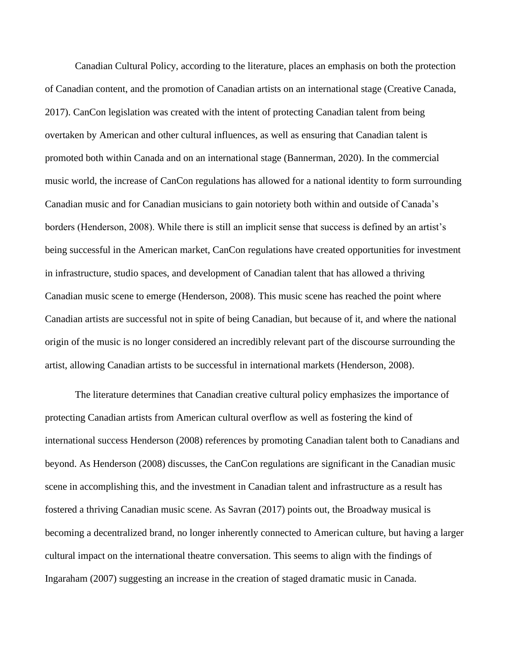Canadian Cultural Policy, according to the literature, places an emphasis on both the protection of Canadian content, and the promotion of Canadian artists on an international stage (Creative Canada, 2017). CanCon legislation was created with the intent of protecting Canadian talent from being overtaken by American and other cultural influences, as well as ensuring that Canadian talent is promoted both within Canada and on an international stage (Bannerman, 2020). In the commercial music world, the increase of CanCon regulations has allowed for a national identity to form surrounding Canadian music and for Canadian musicians to gain notoriety both within and outside of Canada's borders (Henderson, 2008). While there is still an implicit sense that success is defined by an artist's being successful in the American market, CanCon regulations have created opportunities for investment in infrastructure, studio spaces, and development of Canadian talent that has allowed a thriving Canadian music scene to emerge (Henderson, 2008). This music scene has reached the point where Canadian artists are successful not in spite of being Canadian, but because of it, and where the national origin of the music is no longer considered an incredibly relevant part of the discourse surrounding the artist, allowing Canadian artists to be successful in international markets (Henderson, 2008).

The literature determines that Canadian creative cultural policy emphasizes the importance of protecting Canadian artists from American cultural overflow as well as fostering the kind of international success Henderson (2008) references by promoting Canadian talent both to Canadians and beyond. As Henderson (2008) discusses, the CanCon regulations are significant in the Canadian music scene in accomplishing this, and the investment in Canadian talent and infrastructure as a result has fostered a thriving Canadian music scene. As Savran (2017) points out, the Broadway musical is becoming a decentralized brand, no longer inherently connected to American culture, but having a larger cultural impact on the international theatre conversation. This seems to align with the findings of Ingaraham (2007) suggesting an increase in the creation of staged dramatic music in Canada.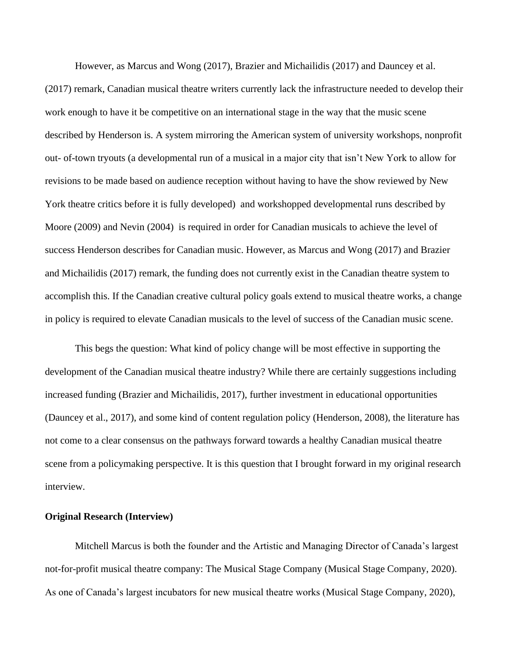However, as Marcus and Wong (2017), Brazier and Michailidis (2017) and Dauncey et al. (2017) remark, Canadian musical theatre writers currently lack the infrastructure needed to develop their work enough to have it be competitive on an international stage in the way that the music scene described by Henderson is. A system mirroring the American system of university workshops, nonprofit out- of-town tryouts (a developmental run of a musical in a major city that isn't New York to allow for revisions to be made based on audience reception without having to have the show reviewed by New York theatre critics before it is fully developed) and workshopped developmental runs described by Moore (2009) and Nevin (2004) is required in order for Canadian musicals to achieve the level of success Henderson describes for Canadian music. However, as Marcus and Wong (2017) and Brazier and Michailidis (2017) remark, the funding does not currently exist in the Canadian theatre system to accomplish this. If the Canadian creative cultural policy goals extend to musical theatre works, a change in policy is required to elevate Canadian musicals to the level of success of the Canadian music scene.

This begs the question: What kind of policy change will be most effective in supporting the development of the Canadian musical theatre industry? While there are certainly suggestions including increased funding (Brazier and Michailidis, 2017), further investment in educational opportunities (Dauncey et al., 2017), and some kind of content regulation policy (Henderson, 2008), the literature has not come to a clear consensus on the pathways forward towards a healthy Canadian musical theatre scene from a policymaking perspective. It is this question that I brought forward in my original research interview.

#### **Original Research (Interview)**

Mitchell Marcus is both the founder and the Artistic and Managing Director of Canada's largest not-for-profit musical theatre company: The Musical Stage Company (Musical Stage Company, 2020). As one of Canada's largest incubators for new musical theatre works (Musical Stage Company, 2020),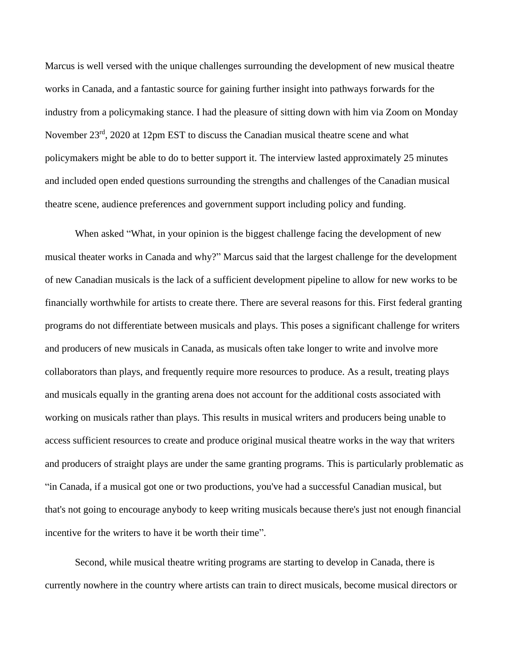Marcus is well versed with the unique challenges surrounding the development of new musical theatre works in Canada, and a fantastic source for gaining further insight into pathways forwards for the industry from a policymaking stance. I had the pleasure of sitting down with him via Zoom on Monday November 23<sup>rd</sup>, 2020 at 12pm EST to discuss the Canadian musical theatre scene and what policymakers might be able to do to better support it. The interview lasted approximately 25 minutes and included open ended questions surrounding the strengths and challenges of the Canadian musical theatre scene, audience preferences and government support including policy and funding.

When asked "What, in your opinion is the biggest challenge facing the development of new musical theater works in Canada and why?" Marcus said that the largest challenge for the development of new Canadian musicals is the lack of a sufficient development pipeline to allow for new works to be financially worthwhile for artists to create there. There are several reasons for this. First federal granting programs do not differentiate between musicals and plays. This poses a significant challenge for writers and producers of new musicals in Canada, as musicals often take longer to write and involve more collaborators than plays, and frequently require more resources to produce. As a result, treating plays and musicals equally in the granting arena does not account for the additional costs associated with working on musicals rather than plays. This results in musical writers and producers being unable to access sufficient resources to create and produce original musical theatre works in the way that writers and producers of straight plays are under the same granting programs. This is particularly problematic as "in Canada, if a musical got one or two productions, you've had a successful Canadian musical, but that's not going to encourage anybody to keep writing musicals because there's just not enough financial incentive for the writers to have it be worth their time".

Second, while musical theatre writing programs are starting to develop in Canada, there is currently nowhere in the country where artists can train to direct musicals, become musical directors or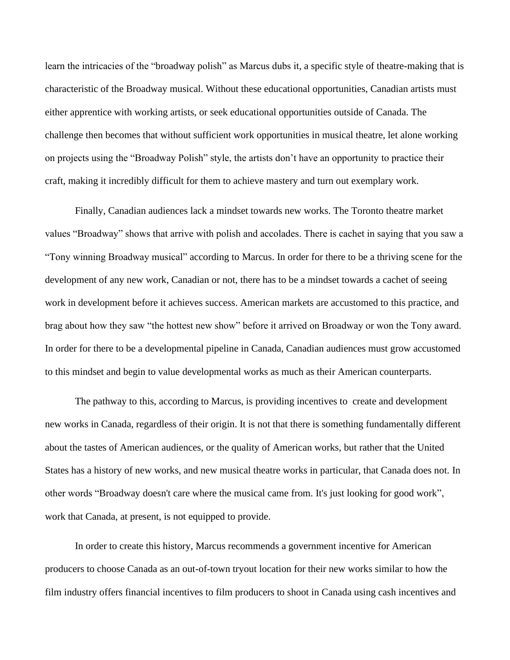learn the intricacies of the "broadway polish" as Marcus dubs it, a specific style of theatre-making that is characteristic of the Broadway musical. Without these educational opportunities, Canadian artists must either apprentice with working artists, or seek educational opportunities outside of Canada. The challenge then becomes that without sufficient work opportunities in musical theatre, let alone working on projects using the "Broadway Polish" style, the artists don't have an opportunity to practice their craft, making it incredibly difficult for them to achieve mastery and turn out exemplary work.

Finally, Canadian audiences lack a mindset towards new works. The Toronto theatre market values "Broadway" shows that arrive with polish and accolades. There is cachet in saying that you saw a "Tony winning Broadway musical" according to Marcus. In order for there to be a thriving scene for the development of any new work, Canadian or not, there has to be a mindset towards a cachet of seeing work in development before it achieves success. American markets are accustomed to this practice, and brag about how they saw "the hottest new show" before it arrived on Broadway or won the Tony award. In order for there to be a developmental pipeline in Canada, Canadian audiences must grow accustomed to this mindset and begin to value developmental works as much as their American counterparts.

The pathway to this, according to Marcus, is providing incentives to create and development new works in Canada, regardless of their origin. It is not that there is something fundamentally different about the tastes of American audiences, or the quality of American works, but rather that the United States has a history of new works, and new musical theatre works in particular, that Canada does not. In other words "Broadway doesn't care where the musical came from. It's just looking for good work", work that Canada, at present, is not equipped to provide.

In order to create this history, Marcus recommends a government incentive for American producers to choose Canada as an out-of-town tryout location for their new works similar to how the film industry offers financial incentives to film producers to shoot in Canada using cash incentives and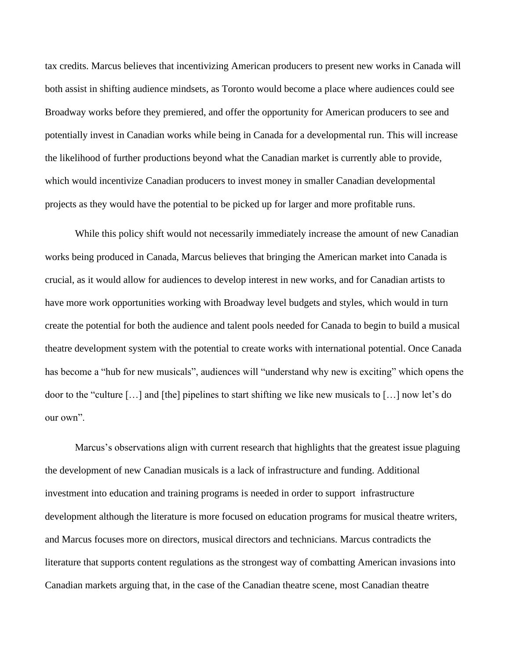tax credits. Marcus believes that incentivizing American producers to present new works in Canada will both assist in shifting audience mindsets, as Toronto would become a place where audiences could see Broadway works before they premiered, and offer the opportunity for American producers to see and potentially invest in Canadian works while being in Canada for a developmental run. This will increase the likelihood of further productions beyond what the Canadian market is currently able to provide, which would incentivize Canadian producers to invest money in smaller Canadian developmental projects as they would have the potential to be picked up for larger and more profitable runs.

While this policy shift would not necessarily immediately increase the amount of new Canadian works being produced in Canada, Marcus believes that bringing the American market into Canada is crucial, as it would allow for audiences to develop interest in new works, and for Canadian artists to have more work opportunities working with Broadway level budgets and styles, which would in turn create the potential for both the audience and talent pools needed for Canada to begin to build a musical theatre development system with the potential to create works with international potential. Once Canada has become a "hub for new musicals", audiences will "understand why new is exciting" which opens the door to the "culture […] and [the] pipelines to start shifting we like new musicals to […] now let's do our own".

Marcus's observations align with current research that highlights that the greatest issue plaguing the development of new Canadian musicals is a lack of infrastructure and funding. Additional investment into education and training programs is needed in order to support infrastructure development although the literature is more focused on education programs for musical theatre writers, and Marcus focuses more on directors, musical directors and technicians. Marcus contradicts the literature that supports content regulations as the strongest way of combatting American invasions into Canadian markets arguing that, in the case of the Canadian theatre scene, most Canadian theatre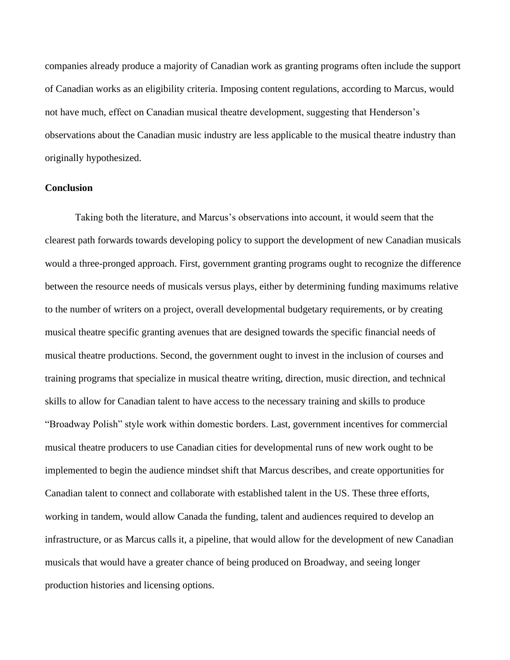companies already produce a majority of Canadian work as granting programs often include the support of Canadian works as an eligibility criteria. Imposing content regulations, according to Marcus, would not have much, effect on Canadian musical theatre development, suggesting that Henderson's observations about the Canadian music industry are less applicable to the musical theatre industry than originally hypothesized.

# **Conclusion**

Taking both the literature, and Marcus's observations into account, it would seem that the clearest path forwards towards developing policy to support the development of new Canadian musicals would a three-pronged approach. First, government granting programs ought to recognize the difference between the resource needs of musicals versus plays, either by determining funding maximums relative to the number of writers on a project, overall developmental budgetary requirements, or by creating musical theatre specific granting avenues that are designed towards the specific financial needs of musical theatre productions. Second, the government ought to invest in the inclusion of courses and training programs that specialize in musical theatre writing, direction, music direction, and technical skills to allow for Canadian talent to have access to the necessary training and skills to produce "Broadway Polish" style work within domestic borders. Last, government incentives for commercial musical theatre producers to use Canadian cities for developmental runs of new work ought to be implemented to begin the audience mindset shift that Marcus describes, and create opportunities for Canadian talent to connect and collaborate with established talent in the US. These three efforts, working in tandem, would allow Canada the funding, talent and audiences required to develop an infrastructure, or as Marcus calls it, a pipeline, that would allow for the development of new Canadian musicals that would have a greater chance of being produced on Broadway, and seeing longer production histories and licensing options.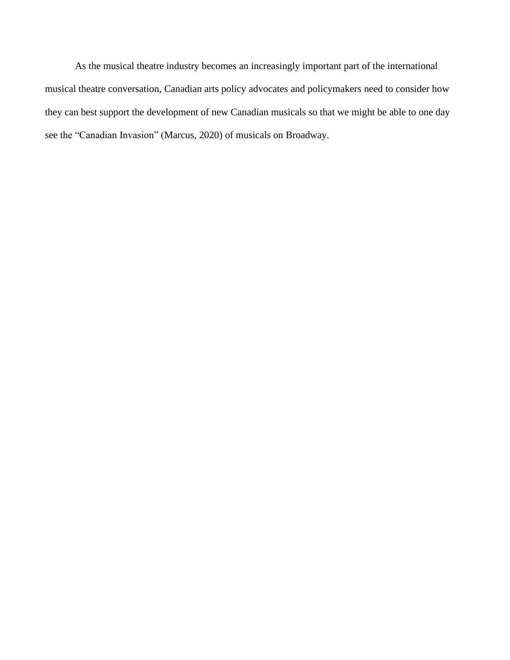As the musical theatre industry becomes an increasingly important part of the international musical theatre conversation, Canadian arts policy advocates and policymakers need to consider how they can best support the development of new Canadian musicals so that we might be able to one day see the "Canadian Invasion" (Marcus, 2020) of musicals on Broadway.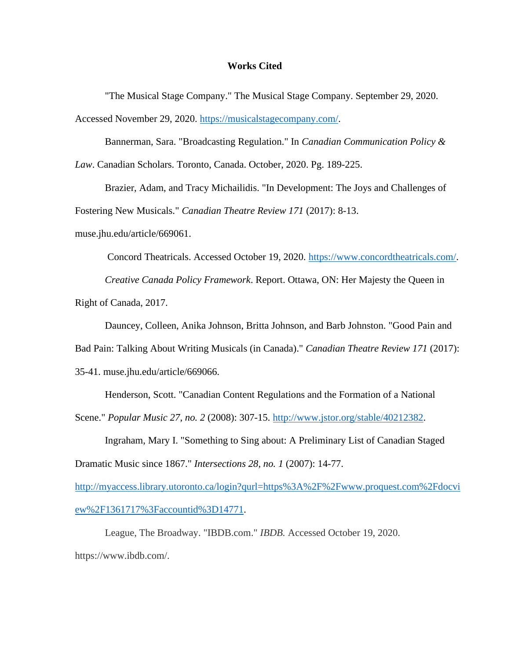#### **Works Cited**

"The Musical Stage Company." The Musical Stage Company. September 29, 2020. Accessed November 29, 2020. [https://musicalstagecompany.com/.](https://musicalstagecompany.com/)

Bannerman, Sara. "Broadcasting Regulation." In *Canadian Communication Policy & Law*. Canadian Scholars. Toronto, Canada. October, 2020. Pg. 189-225.

Brazier, Adam, and Tracy Michailidis. "In Development: The Joys and Challenges of Fostering New Musicals." *Canadian Theatre Review 171* (2017): 8-13.

muse.jhu.edu/article/669061.

Concord Theatricals. Accessed October 19, 2020. [https://www.concordtheatricals.com/.](https://www.concordtheatricals.com/) *Creative Canada Policy Framework*. Report. Ottawa, ON: Her Majesty the Queen in Right of Canada, 2017.

Dauncey, Colleen, Anika Johnson, Britta Johnson, and Barb Johnston. "Good Pain and

Bad Pain: Talking About Writing Musicals (in Canada)." *Canadian Theatre Review 171* (2017):

35-41. muse.jhu.edu/article/669066.

Henderson, Scott. "Canadian Content Regulations and the Formation of a National

Scene." *Popular Music 27, no. 2* (2008): 307-15. [http://www.jstor.org/stable/40212382.](http://www.jstor.org/stable/40212382)

Ingraham, Mary I. "Something to Sing about: A Preliminary List of Canadian Staged

Dramatic Music since 1867." *Intersections 28, no. 1* (2007): 14-77.

[http://myaccess.library.utoronto.ca/login?qurl=https%3A%2F%2Fwww.proquest.com%2Fdocvi](http://myaccess.library.utoronto.ca/login?qurl=https%3A%2F%2Fwww.proquest.com%2Fdocview%2F1361717%3Faccountid%3D14771) [ew%2F1361717%3Faccountid%3D14771.](http://myaccess.library.utoronto.ca/login?qurl=https%3A%2F%2Fwww.proquest.com%2Fdocview%2F1361717%3Faccountid%3D14771)

League, The Broadway. "IBDB.com." *IBDB.* Accessed October 19, 2020. https://www.ibdb.com/.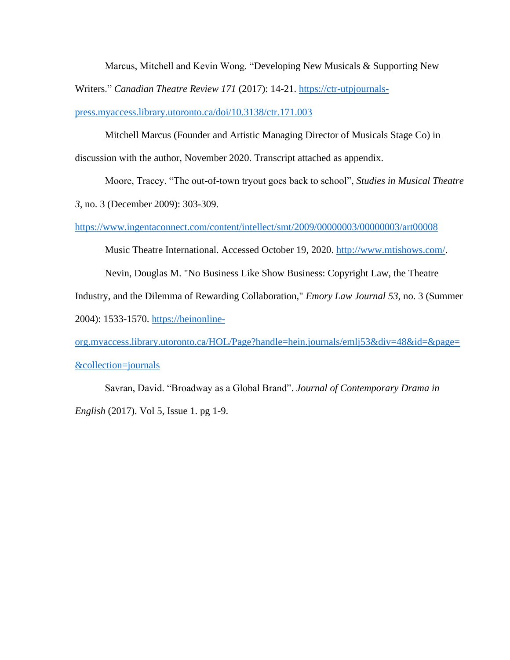Marcus, Mitchell and Kevin Wong. "Developing New Musicals & Supporting New

Writers." *Canadian Theatre Review 171* (2017): 14-21. [https://ctr-utpjournals-](https://ctr-utpjournals-press.myaccess.library.utoronto.ca/doi/10.3138/ctr.171.003)

[press.myaccess.library.utoronto.ca/doi/10.3138/ctr.171.003](https://ctr-utpjournals-press.myaccess.library.utoronto.ca/doi/10.3138/ctr.171.003)

Mitchell Marcus (Founder and Artistic Managing Director of Musicals Stage Co) in discussion with the author, November 2020. Transcript attached as appendix.

Moore, Tracey. "The out-of-town tryout goes back to school", *Studies in Musical Theatre 3*, no. 3 (December 2009): 303-309.

<https://www.ingentaconnect.com/content/intellect/smt/2009/00000003/00000003/art00008>

Music Theatre International. Accessed October 19, 2020. [http://www.mtishows.com/.](http://www.mtishows.com/)

Nevin, Douglas M. "No Business Like Show Business: Copyright Law, the Theatre

Industry, and the Dilemma of Rewarding Collaboration," *Emory Law Journal 53,* no. 3 (Summer

2004): 1533-1570. [https://heinonline-](https://heinonline-org.myaccess.library.utoronto.ca/HOL/Page?handle=hein.journals/emlj53&div=48&id=&page=&collection=journals)

[org.myaccess.library.utoronto.ca/HOL/Page?handle=hein.journals/emlj53&div=48&id=&page=](https://heinonline-org.myaccess.library.utoronto.ca/HOL/Page?handle=hein.journals/emlj53&div=48&id=&page=&collection=journals) [&collection=journals](https://heinonline-org.myaccess.library.utoronto.ca/HOL/Page?handle=hein.journals/emlj53&div=48&id=&page=&collection=journals)

Savran, David. "Broadway as a Global Brand". *Journal of Contemporary Drama in English* (2017). Vol 5, Issue 1. pg 1-9.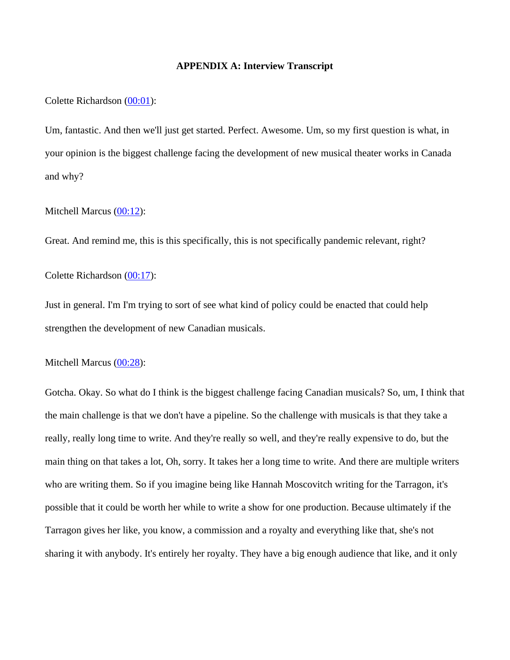## **APPENDIX A: Interview Transcript**

Colette Richardson [\(00:01\)](https://www.temi.com/editor/t/RKO1Vmj5rsS2yC43BkRLuo19xZenMWUPgDrjaEpaGBIcLBl4vChsaX-QGeMACHTwDhjVJriXpGUL9ZxYGWUqMR-JEqQ?loadFrom=SharedLink&ts=1.47):

Um, fantastic. And then we'll just get started. Perfect. Awesome. Um, so my first question is what, in your opinion is the biggest challenge facing the development of new musical theater works in Canada and why?

Mitchell Marcus [\(00:12\)](https://www.temi.com/editor/t/RKO1Vmj5rsS2yC43BkRLuo19xZenMWUPgDrjaEpaGBIcLBl4vChsaX-QGeMACHTwDhjVJriXpGUL9ZxYGWUqMR-JEqQ?loadFrom=SharedLink&ts=12.68):

Great. And remind me, this is this specifically, this is not specifically pandemic relevant, right?

Colette Richardson [\(00:17\)](https://www.temi.com/editor/t/RKO1Vmj5rsS2yC43BkRLuo19xZenMWUPgDrjaEpaGBIcLBl4vChsaX-QGeMACHTwDhjVJriXpGUL9ZxYGWUqMR-JEqQ?loadFrom=SharedLink&ts=17.97):

Just in general. I'm I'm trying to sort of see what kind of policy could be enacted that could help strengthen the development of new Canadian musicals.

Mitchell Marcus [\(00:28\)](https://www.temi.com/editor/t/RKO1Vmj5rsS2yC43BkRLuo19xZenMWUPgDrjaEpaGBIcLBl4vChsaX-QGeMACHTwDhjVJriXpGUL9ZxYGWUqMR-JEqQ?loadFrom=SharedLink&ts=28.16):

Gotcha. Okay. So what do I think is the biggest challenge facing Canadian musicals? So, um, I think that the main challenge is that we don't have a pipeline. So the challenge with musicals is that they take a really, really long time to write. And they're really so well, and they're really expensive to do, but the main thing on that takes a lot, Oh, sorry. It takes her a long time to write. And there are multiple writers who are writing them. So if you imagine being like Hannah Moscovitch writing for the Tarragon, it's possible that it could be worth her while to write a show for one production. Because ultimately if the Tarragon gives her like, you know, a commission and a royalty and everything like that, she's not sharing it with anybody. It's entirely her royalty. They have a big enough audience that like, and it only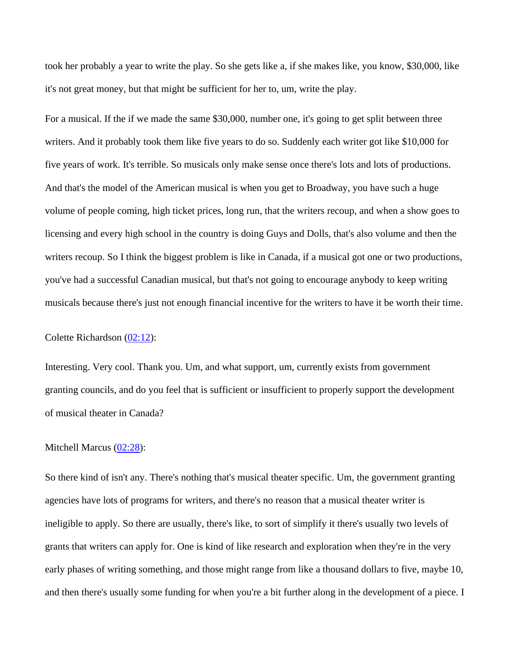took her probably a year to write the play. So she gets like a, if she makes like, you know, \$30,000, like it's not great money, but that might be sufficient for her to, um, write the play.

For a musical. If the if we made the same \$30,000, number one, it's going to get split between three writers. And it probably took them like five years to do so. Suddenly each writer got like \$10,000 for five years of work. It's terrible. So musicals only make sense once there's lots and lots of productions. And that's the model of the American musical is when you get to Broadway, you have such a huge volume of people coming, high ticket prices, long run, that the writers recoup, and when a show goes to licensing and every high school in the country is doing Guys and Dolls, that's also volume and then the writers recoup. So I think the biggest problem is like in Canada, if a musical got one or two productions, you've had a successful Canadian musical, but that's not going to encourage anybody to keep writing musicals because there's just not enough financial incentive for the writers to have it be worth their time.

Colette Richardson [\(02:12\)](https://www.temi.com/editor/t/RKO1Vmj5rsS2yC43BkRLuo19xZenMWUPgDrjaEpaGBIcLBl4vChsaX-QGeMACHTwDhjVJriXpGUL9ZxYGWUqMR-JEqQ?loadFrom=SharedLink&ts=132.53):

Interesting. Very cool. Thank you. Um, and what support, um, currently exists from government granting councils, and do you feel that is sufficient or insufficient to properly support the development of musical theater in Canada?

Mitchell Marcus [\(02:28\)](https://www.temi.com/editor/t/RKO1Vmj5rsS2yC43BkRLuo19xZenMWUPgDrjaEpaGBIcLBl4vChsaX-QGeMACHTwDhjVJriXpGUL9ZxYGWUqMR-JEqQ?loadFrom=SharedLink&ts=148.13):

So there kind of isn't any. There's nothing that's musical theater specific. Um, the government granting agencies have lots of programs for writers, and there's no reason that a musical theater writer is ineligible to apply. So there are usually, there's like, to sort of simplify it there's usually two levels of grants that writers can apply for. One is kind of like research and exploration when they're in the very early phases of writing something, and those might range from like a thousand dollars to five, maybe 10, and then there's usually some funding for when you're a bit further along in the development of a piece. I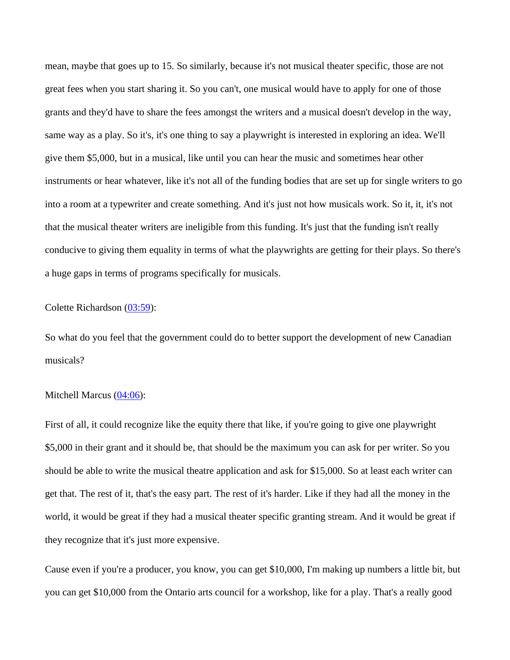mean, maybe that goes up to 15. So similarly, because it's not musical theater specific, those are not great fees when you start sharing it. So you can't, one musical would have to apply for one of those grants and they'd have to share the fees amongst the writers and a musical doesn't develop in the way, same way as a play. So it's, it's one thing to say a playwright is interested in exploring an idea. We'll give them \$5,000, but in a musical, like until you can hear the music and sometimes hear other instruments or hear whatever, like it's not all of the funding bodies that are set up for single writers to go into a room at a typewriter and create something. And it's just not how musicals work. So it, it, it's not that the musical theater writers are ineligible from this funding. It's just that the funding isn't really conducive to giving them equality in terms of what the playwrights are getting for their plays. So there's a huge gaps in terms of programs specifically for musicals.

## Colette Richardson [\(03:59\)](https://www.temi.com/editor/t/RKO1Vmj5rsS2yC43BkRLuo19xZenMWUPgDrjaEpaGBIcLBl4vChsaX-QGeMACHTwDhjVJriXpGUL9ZxYGWUqMR-JEqQ?loadFrom=SharedLink&ts=239.64):

So what do you feel that the government could do to better support the development of new Canadian musicals?

#### Mitchell Marcus [\(04:06\)](https://www.temi.com/editor/t/RKO1Vmj5rsS2yC43BkRLuo19xZenMWUPgDrjaEpaGBIcLBl4vChsaX-QGeMACHTwDhjVJriXpGUL9ZxYGWUqMR-JEqQ?loadFrom=SharedLink&ts=246.6):

First of all, it could recognize like the equity there that like, if you're going to give one playwright \$5,000 in their grant and it should be, that should be the maximum you can ask for per writer. So you should be able to write the musical theatre application and ask for \$15,000. So at least each writer can get that. The rest of it, that's the easy part. The rest of it's harder. Like if they had all the money in the world, it would be great if they had a musical theater specific granting stream. And it would be great if they recognize that it's just more expensive.

Cause even if you're a producer, you know, you can get \$10,000, I'm making up numbers a little bit, but you can get \$10,000 from the Ontario arts council for a workshop, like for a play. That's a really good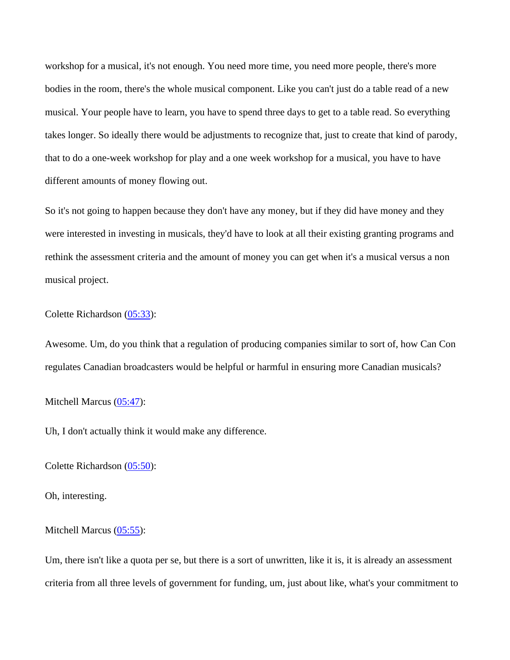workshop for a musical, it's not enough. You need more time, you need more people, there's more bodies in the room, there's the whole musical component. Like you can't just do a table read of a new musical. Your people have to learn, you have to spend three days to get to a table read. So everything takes longer. So ideally there would be adjustments to recognize that, just to create that kind of parody, that to do a one-week workshop for play and a one week workshop for a musical, you have to have different amounts of money flowing out.

So it's not going to happen because they don't have any money, but if they did have money and they were interested in investing in musicals, they'd have to look at all their existing granting programs and rethink the assessment criteria and the amount of money you can get when it's a musical versus a non musical project.

Colette Richardson [\(05:33\)](https://www.temi.com/editor/t/RKO1Vmj5rsS2yC43BkRLuo19xZenMWUPgDrjaEpaGBIcLBl4vChsaX-QGeMACHTwDhjVJriXpGUL9ZxYGWUqMR-JEqQ?loadFrom=SharedLink&ts=333.18):

Awesome. Um, do you think that a regulation of producing companies similar to sort of, how Can Con regulates Canadian broadcasters would be helpful or harmful in ensuring more Canadian musicals?

Mitchell Marcus [\(05:47\)](https://www.temi.com/editor/t/RKO1Vmj5rsS2yC43BkRLuo19xZenMWUPgDrjaEpaGBIcLBl4vChsaX-QGeMACHTwDhjVJriXpGUL9ZxYGWUqMR-JEqQ?loadFrom=SharedLink&ts=347.55):

Uh, I don't actually think it would make any difference.

Colette Richardson [\(05:50\)](https://www.temi.com/editor/t/RKO1Vmj5rsS2yC43BkRLuo19xZenMWUPgDrjaEpaGBIcLBl4vChsaX-QGeMACHTwDhjVJriXpGUL9ZxYGWUqMR-JEqQ?loadFrom=SharedLink&ts=350.79):

Oh, interesting.

Mitchell Marcus [\(05:55\)](https://www.temi.com/editor/t/RKO1Vmj5rsS2yC43BkRLuo19xZenMWUPgDrjaEpaGBIcLBl4vChsaX-QGeMACHTwDhjVJriXpGUL9ZxYGWUqMR-JEqQ?loadFrom=SharedLink&ts=355.02):

Um, there isn't like a quota per se, but there is a sort of unwritten, like it is, it is already an assessment criteria from all three levels of government for funding, um, just about like, what's your commitment to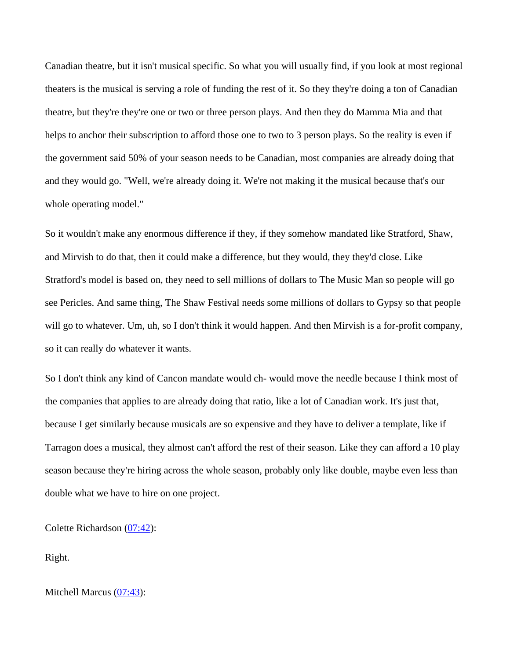Canadian theatre, but it isn't musical specific. So what you will usually find, if you look at most regional theaters is the musical is serving a role of funding the rest of it. So they they're doing a ton of Canadian theatre, but they're they're one or two or three person plays. And then they do Mamma Mia and that helps to anchor their subscription to afford those one to two to 3 person plays. So the reality is even if the government said 50% of your season needs to be Canadian, most companies are already doing that and they would go. "Well, we're already doing it. We're not making it the musical because that's our whole operating model."

So it wouldn't make any enormous difference if they, if they somehow mandated like Stratford, Shaw, and Mirvish to do that, then it could make a difference, but they would, they they'd close. Like Stratford's model is based on, they need to sell millions of dollars to The Music Man so people will go see Pericles. And same thing, The Shaw Festival needs some millions of dollars to Gypsy so that people will go to whatever. Um, uh, so I don't think it would happen. And then Mirvish is a for-profit company, so it can really do whatever it wants.

So I don't think any kind of Cancon mandate would ch- would move the needle because I think most of the companies that applies to are already doing that ratio, like a lot of Canadian work. It's just that, because I get similarly because musicals are so expensive and they have to deliver a template, like if Tarragon does a musical, they almost can't afford the rest of their season. Like they can afford a 10 play season because they're hiring across the whole season, probably only like double, maybe even less than double what we have to hire on one project.

Colette Richardson [\(07:42\)](https://www.temi.com/editor/t/RKO1Vmj5rsS2yC43BkRLuo19xZenMWUPgDrjaEpaGBIcLBl4vChsaX-QGeMACHTwDhjVJriXpGUL9ZxYGWUqMR-JEqQ?loadFrom=SharedLink&ts=462.95):

Right.

Mitchell Marcus [\(07:43\)](https://www.temi.com/editor/t/RKO1Vmj5rsS2yC43BkRLuo19xZenMWUPgDrjaEpaGBIcLBl4vChsaX-QGeMACHTwDhjVJriXpGUL9ZxYGWUqMR-JEqQ?loadFrom=SharedLink&ts=463.37):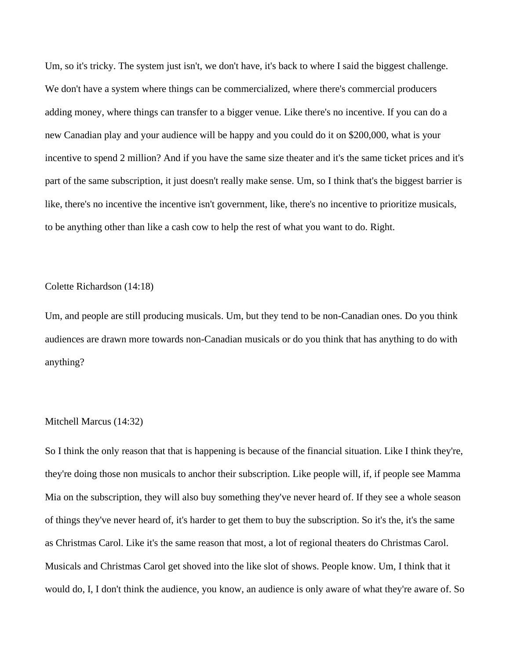Um, so it's tricky. The system just isn't, we don't have, it's back to where I said the biggest challenge. We don't have a system where things can be commercialized, where there's commercial producers adding money, where things can transfer to a bigger venue. Like there's no incentive. If you can do a new Canadian play and your audience will be happy and you could do it on \$200,000, what is your incentive to spend 2 million? And if you have the same size theater and it's the same ticket prices and it's part of the same subscription, it just doesn't really make sense. Um, so I think that's the biggest barrier is like, there's no incentive the incentive isn't government, like, there's no incentive to prioritize musicals, to be anything other than like a cash cow to help the rest of what you want to do. Right.

## Colette Richardson (14:18)

Um, and people are still producing musicals. Um, but they tend to be non-Canadian ones. Do you think audiences are drawn more towards non-Canadian musicals or do you think that has anything to do with anything?

## Mitchell Marcus (14:32)

So I think the only reason that that is happening is because of the financial situation. Like I think they're, they're doing those non musicals to anchor their subscription. Like people will, if, if people see Mamma Mia on the subscription, they will also buy something they've never heard of. If they see a whole season of things they've never heard of, it's harder to get them to buy the subscription. So it's the, it's the same as Christmas Carol. Like it's the same reason that most, a lot of regional theaters do Christmas Carol. Musicals and Christmas Carol get shoved into the like slot of shows. People know. Um, I think that it would do, I, I don't think the audience, you know, an audience is only aware of what they're aware of. So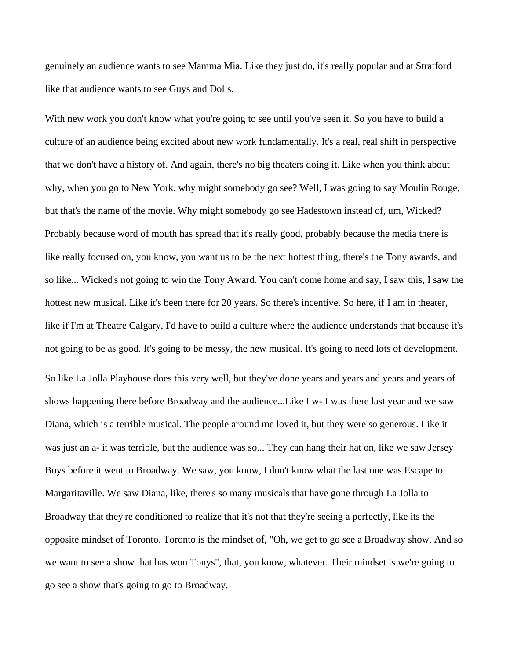genuinely an audience wants to see Mamma Mia. Like they just do, it's really popular and at Stratford like that audience wants to see Guys and Dolls.

With new work you don't know what you're going to see until you've seen it. So you have to build a culture of an audience being excited about new work fundamentally. It's a real, real shift in perspective that we don't have a history of. And again, there's no big theaters doing it. Like when you think about why, when you go to New York, why might somebody go see? Well, I was going to say Moulin Rouge, but that's the name of the movie. Why might somebody go see Hadestown instead of, um, Wicked? Probably because word of mouth has spread that it's really good, probably because the media there is like really focused on, you know, you want us to be the next hottest thing, there's the Tony awards, and so like... Wicked's not going to win the Tony Award. You can't come home and say, I saw this, I saw the hottest new musical. Like it's been there for 20 years. So there's incentive. So here, if I am in theater, like if I'm at Theatre Calgary, I'd have to build a culture where the audience understands that because it's not going to be as good. It's going to be messy, the new musical. It's going to need lots of development. So like La Jolla Playhouse does this very well, but they've done years and years and years and years of shows happening there before Broadway and the audience...Like I w- I was there last year and we saw Diana, which is a terrible musical. The people around me loved it, but they were so generous. Like it was just an a- it was terrible, but the audience was so... They can hang their hat on, like we saw Jersey Boys before it went to Broadway. We saw, you know, I don't know what the last one was Escape to Margaritaville. We saw Diana, like, there's so many musicals that have gone through La Jolla to Broadway that they're conditioned to realize that it's not that they're seeing a perfectly, like its the

opposite mindset of Toronto. Toronto is the mindset of, "Oh, we get to go see a Broadway show. And so we want to see a show that has won Tonys", that, you know, whatever. Their mindset is we're going to go see a show that's going to go to Broadway.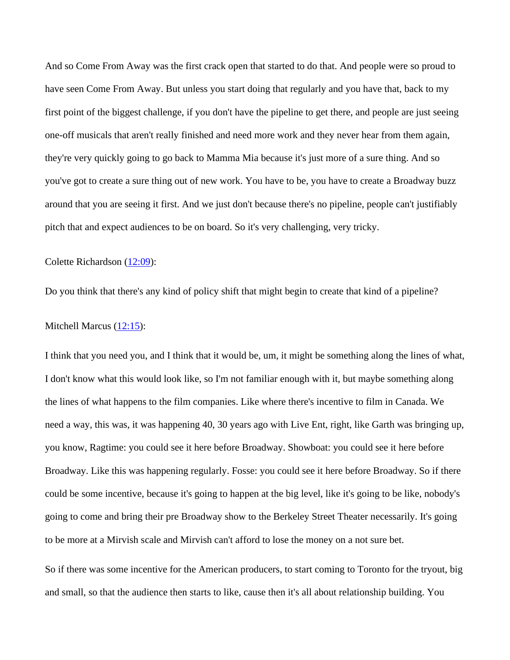And so Come From Away was the first crack open that started to do that. And people were so proud to have seen Come From Away. But unless you start doing that regularly and you have that, back to my first point of the biggest challenge, if you don't have the pipeline to get there, and people are just seeing one-off musicals that aren't really finished and need more work and they never hear from them again, they're very quickly going to go back to Mamma Mia because it's just more of a sure thing. And so you've got to create a sure thing out of new work. You have to be, you have to create a Broadway buzz around that you are seeing it first. And we just don't because there's no pipeline, people can't justifiably pitch that and expect audiences to be on board. So it's very challenging, very tricky.

Colette Richardson [\(12:09\)](https://www.temi.com/editor/t/RKO1Vmj5rsS2yC43BkRLuo19xZenMWUPgDrjaEpaGBIcLBl4vChsaX-QGeMACHTwDhjVJriXpGUL9ZxYGWUqMR-JEqQ?loadFrom=SharedLink&ts=729.63):

Do you think that there's any kind of policy shift that might begin to create that kind of a pipeline?

Mitchell Marcus [\(12:15\)](https://www.temi.com/editor/t/RKO1Vmj5rsS2yC43BkRLuo19xZenMWUPgDrjaEpaGBIcLBl4vChsaX-QGeMACHTwDhjVJriXpGUL9ZxYGWUqMR-JEqQ?loadFrom=SharedLink&ts=735.21):

I think that you need you, and I think that it would be, um, it might be something along the lines of what, I don't know what this would look like, so I'm not familiar enough with it, but maybe something along the lines of what happens to the film companies. Like where there's incentive to film in Canada. We need a way, this was, it was happening 40, 30 years ago with Live Ent, right, like Garth was bringing up, you know, Ragtime: you could see it here before Broadway. Showboat: you could see it here before Broadway. Like this was happening regularly. Fosse: you could see it here before Broadway. So if there could be some incentive, because it's going to happen at the big level, like it's going to be like, nobody's going to come and bring their pre Broadway show to the Berkeley Street Theater necessarily. It's going to be more at a Mirvish scale and Mirvish can't afford to lose the money on a not sure bet.

So if there was some incentive for the American producers, to start coming to Toronto for the tryout, big and small, so that the audience then starts to like, cause then it's all about relationship building. You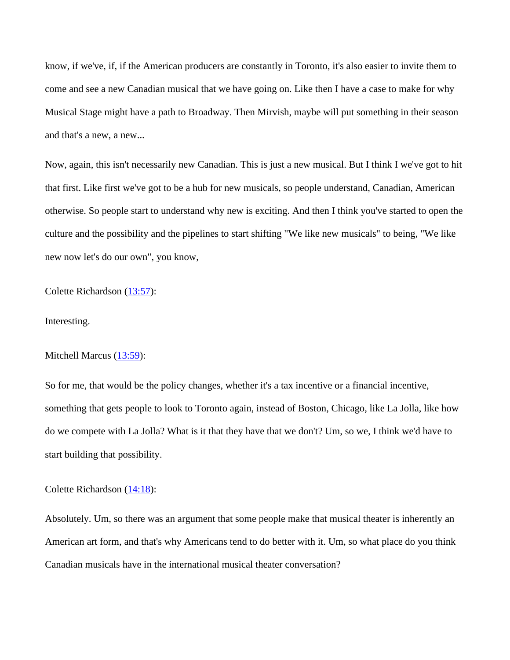know, if we've, if, if the American producers are constantly in Toronto, it's also easier to invite them to come and see a new Canadian musical that we have going on. Like then I have a case to make for why Musical Stage might have a path to Broadway. Then Mirvish, maybe will put something in their season and that's a new, a new...

Now, again, this isn't necessarily new Canadian. This is just a new musical. But I think I we've got to hit that first. Like first we've got to be a hub for new musicals, so people understand, Canadian, American otherwise. So people start to understand why new is exciting. And then I think you've started to open the culture and the possibility and the pipelines to start shifting "We like new musicals" to being, "We like new now let's do our own", you know,

Colette Richardson [\(13:57\)](https://www.temi.com/editor/t/RKO1Vmj5rsS2yC43BkRLuo19xZenMWUPgDrjaEpaGBIcLBl4vChsaX-QGeMACHTwDhjVJriXpGUL9ZxYGWUqMR-JEqQ?loadFrom=SharedLink&ts=837.66):

Interesting.

Mitchell Marcus [\(13:59\)](https://www.temi.com/editor/t/RKO1Vmj5rsS2yC43BkRLuo19xZenMWUPgDrjaEpaGBIcLBl4vChsaX-QGeMACHTwDhjVJriXpGUL9ZxYGWUqMR-JEqQ?loadFrom=SharedLink&ts=839.49):

So for me, that would be the policy changes, whether it's a tax incentive or a financial incentive, something that gets people to look to Toronto again, instead of Boston, Chicago, like La Jolla, like how do we compete with La Jolla? What is it that they have that we don't? Um, so we, I think we'd have to start building that possibility.

Colette Richardson [\(14:18\)](https://www.temi.com/editor/t/RKO1Vmj5rsS2yC43BkRLuo19xZenMWUPgDrjaEpaGBIcLBl4vChsaX-QGeMACHTwDhjVJriXpGUL9ZxYGWUqMR-JEqQ?loadFrom=SharedLink&ts=858.66):

Absolutely. Um, so there was an argument that some people make that musical theater is inherently an American art form, and that's why Americans tend to do better with it. Um, so what place do you think Canadian musicals have in the international musical theater conversation?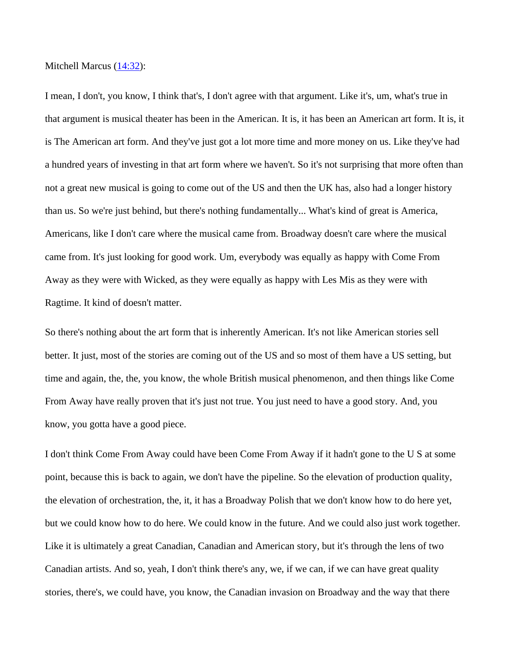Mitchell Marcus  $(14:32)$ :

I mean, I don't, you know, I think that's, I don't agree with that argument. Like it's, um, what's true in that argument is musical theater has been in the American. It is, it has been an American art form. It is, it is The American art form. And they've just got a lot more time and more money on us. Like they've had a hundred years of investing in that art form where we haven't. So it's not surprising that more often than not a great new musical is going to come out of the US and then the UK has, also had a longer history than us. So we're just behind, but there's nothing fundamentally... What's kind of great is America, Americans, like I don't care where the musical came from. Broadway doesn't care where the musical came from. It's just looking for good work. Um, everybody was equally as happy with Come From Away as they were with Wicked, as they were equally as happy with Les Mis as they were with Ragtime. It kind of doesn't matter.

So there's nothing about the art form that is inherently American. It's not like American stories sell better. It just, most of the stories are coming out of the US and so most of them have a US setting, but time and again, the, the, you know, the whole British musical phenomenon, and then things like Come From Away have really proven that it's just not true. You just need to have a good story. And, you know, you gotta have a good piece.

I don't think Come From Away could have been Come From Away if it hadn't gone to the U S at some point, because this is back to again, we don't have the pipeline. So the elevation of production quality, the elevation of orchestration, the, it, it has a Broadway Polish that we don't know how to do here yet, but we could know how to do here. We could know in the future. And we could also just work together. Like it is ultimately a great Canadian, Canadian and American story, but it's through the lens of two Canadian artists. And so, yeah, I don't think there's any, we, if we can, if we can have great quality stories, there's, we could have, you know, the Canadian invasion on Broadway and the way that there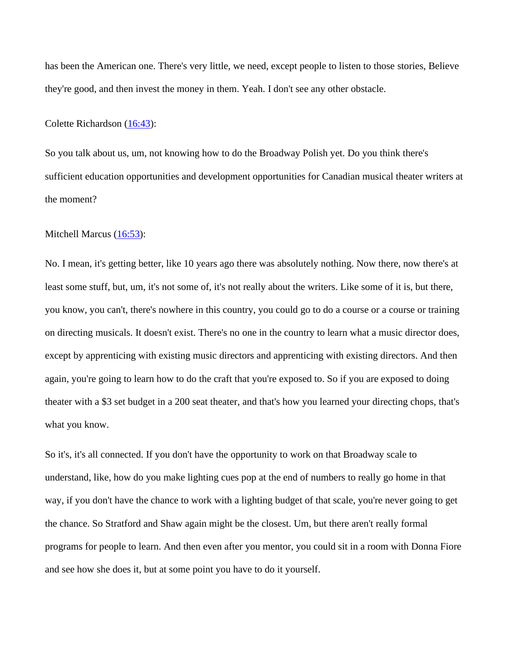has been the American one. There's very little, we need, except people to listen to those stories, Believe they're good, and then invest the money in them. Yeah. I don't see any other obstacle.

Colette Richardson [\(16:43\)](https://www.temi.com/editor/t/RKO1Vmj5rsS2yC43BkRLuo19xZenMWUPgDrjaEpaGBIcLBl4vChsaX-QGeMACHTwDhjVJriXpGUL9ZxYGWUqMR-JEqQ?loadFrom=SharedLink&ts=1003.48):

So you talk about us, um, not knowing how to do the Broadway Polish yet. Do you think there's sufficient education opportunities and development opportunities for Canadian musical theater writers at the moment?

Mitchell Marcus [\(16:53\)](https://www.temi.com/editor/t/RKO1Vmj5rsS2yC43BkRLuo19xZenMWUPgDrjaEpaGBIcLBl4vChsaX-QGeMACHTwDhjVJriXpGUL9ZxYGWUqMR-JEqQ?loadFrom=SharedLink&ts=1013.14):

No. I mean, it's getting better, like 10 years ago there was absolutely nothing. Now there, now there's at least some stuff, but, um, it's not some of, it's not really about the writers. Like some of it is, but there, you know, you can't, there's nowhere in this country, you could go to do a course or a course or training on directing musicals. It doesn't exist. There's no one in the country to learn what a music director does, except by apprenticing with existing music directors and apprenticing with existing directors. And then again, you're going to learn how to do the craft that you're exposed to. So if you are exposed to doing theater with a \$3 set budget in a 200 seat theater, and that's how you learned your directing chops, that's what you know.

So it's, it's all connected. If you don't have the opportunity to work on that Broadway scale to understand, like, how do you make lighting cues pop at the end of numbers to really go home in that way, if you don't have the chance to work with a lighting budget of that scale, you're never going to get the chance. So Stratford and Shaw again might be the closest. Um, but there aren't really formal programs for people to learn. And then even after you mentor, you could sit in a room with Donna Fiore and see how she does it, but at some point you have to do it yourself.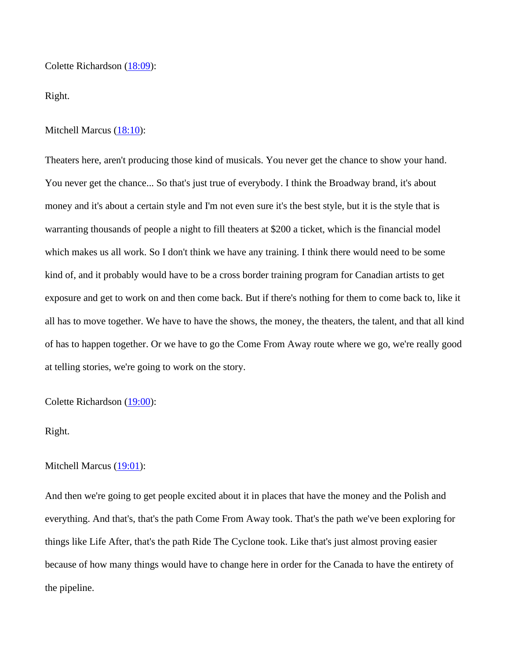Colette Richardson [\(18:09\)](https://www.temi.com/editor/t/RKO1Vmj5rsS2yC43BkRLuo19xZenMWUPgDrjaEpaGBIcLBl4vChsaX-QGeMACHTwDhjVJriXpGUL9ZxYGWUqMR-JEqQ?loadFrom=SharedLink&ts=1089.9):

Right.

Mitchell Marcus [\(18:10\)](https://www.temi.com/editor/t/RKO1Vmj5rsS2yC43BkRLuo19xZenMWUPgDrjaEpaGBIcLBl4vChsaX-QGeMACHTwDhjVJriXpGUL9ZxYGWUqMR-JEqQ?loadFrom=SharedLink&ts=1090.59):

Theaters here, aren't producing those kind of musicals. You never get the chance to show your hand. You never get the chance... So that's just true of everybody. I think the Broadway brand, it's about money and it's about a certain style and I'm not even sure it's the best style, but it is the style that is warranting thousands of people a night to fill theaters at \$200 a ticket, which is the financial model which makes us all work. So I don't think we have any training. I think there would need to be some kind of, and it probably would have to be a cross border training program for Canadian artists to get exposure and get to work on and then come back. But if there's nothing for them to come back to, like it all has to move together. We have to have the shows, the money, the theaters, the talent, and that all kind of has to happen together. Or we have to go the Come From Away route where we go, we're really good at telling stories, we're going to work on the story.

Colette Richardson [\(19:00\)](https://www.temi.com/editor/t/RKO1Vmj5rsS2yC43BkRLuo19xZenMWUPgDrjaEpaGBIcLBl4vChsaX-QGeMACHTwDhjVJriXpGUL9ZxYGWUqMR-JEqQ?loadFrom=SharedLink&ts=1140.9):

## Right.

#### Mitchell Marcus [\(19:01\)](https://www.temi.com/editor/t/RKO1Vmj5rsS2yC43BkRLuo19xZenMWUPgDrjaEpaGBIcLBl4vChsaX-QGeMACHTwDhjVJriXpGUL9ZxYGWUqMR-JEqQ?loadFrom=SharedLink&ts=1141.44):

And then we're going to get people excited about it in places that have the money and the Polish and everything. And that's, that's the path Come From Away took. That's the path we've been exploring for things like Life After, that's the path Ride The Cyclone took. Like that's just almost proving easier because of how many things would have to change here in order for the Canada to have the entirety of the pipeline.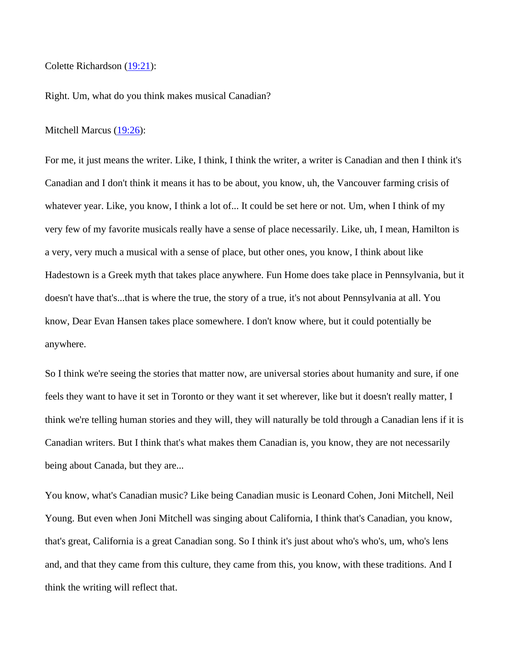Colette Richardson [\(19:21\)](https://www.temi.com/editor/t/RKO1Vmj5rsS2yC43BkRLuo19xZenMWUPgDrjaEpaGBIcLBl4vChsaX-QGeMACHTwDhjVJriXpGUL9ZxYGWUqMR-JEqQ?loadFrom=SharedLink&ts=1161.2):

Right. Um, what do you think makes musical Canadian?

Mitchell Marcus [\(19:26\)](https://www.temi.com/editor/t/RKO1Vmj5rsS2yC43BkRLuo19xZenMWUPgDrjaEpaGBIcLBl4vChsaX-QGeMACHTwDhjVJriXpGUL9ZxYGWUqMR-JEqQ?loadFrom=SharedLink&ts=1166.3):

For me, it just means the writer. Like, I think, I think the writer, a writer is Canadian and then I think it's Canadian and I don't think it means it has to be about, you know, uh, the Vancouver farming crisis of whatever year. Like, you know, I think a lot of... It could be set here or not. Um, when I think of my very few of my favorite musicals really have a sense of place necessarily. Like, uh, I mean, Hamilton is a very, very much a musical with a sense of place, but other ones, you know, I think about like Hadestown is a Greek myth that takes place anywhere. Fun Home does take place in Pennsylvania, but it doesn't have that's...that is where the true, the story of a true, it's not about Pennsylvania at all. You know, Dear Evan Hansen takes place somewhere. I don't know where, but it could potentially be anywhere.

So I think we're seeing the stories that matter now, are universal stories about humanity and sure, if one feels they want to have it set in Toronto or they want it set wherever, like but it doesn't really matter, I think we're telling human stories and they will, they will naturally be told through a Canadian lens if it is Canadian writers. But I think that's what makes them Canadian is, you know, they are not necessarily being about Canada, but they are...

You know, what's Canadian music? Like being Canadian music is Leonard Cohen, Joni Mitchell, Neil Young. But even when Joni Mitchell was singing about California, I think that's Canadian, you know, that's great, California is a great Canadian song. So I think it's just about who's who's, um, who's lens and, and that they came from this culture, they came from this, you know, with these traditions. And I think the writing will reflect that.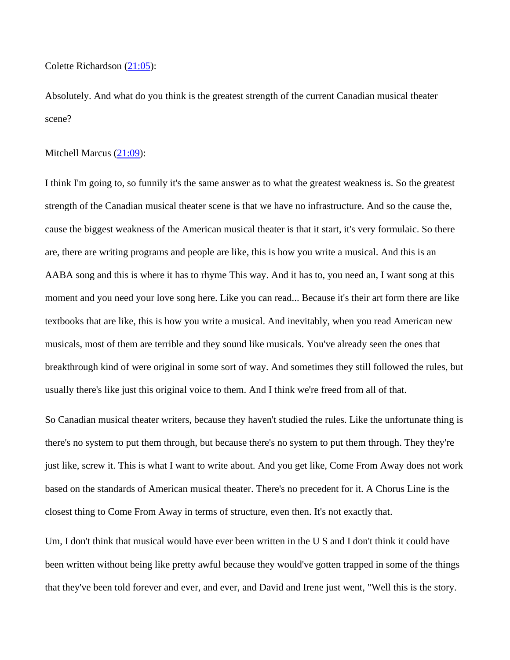Colette Richardson [\(21:05\)](https://www.temi.com/editor/t/RKO1Vmj5rsS2yC43BkRLuo19xZenMWUPgDrjaEpaGBIcLBl4vChsaX-QGeMACHTwDhjVJriXpGUL9ZxYGWUqMR-JEqQ?loadFrom=SharedLink&ts=1265.61):

Absolutely. And what do you think is the greatest strength of the current Canadian musical theater scene?

#### Mitchell Marcus [\(21:09\)](https://www.temi.com/editor/t/RKO1Vmj5rsS2yC43BkRLuo19xZenMWUPgDrjaEpaGBIcLBl4vChsaX-QGeMACHTwDhjVJriXpGUL9ZxYGWUqMR-JEqQ?loadFrom=SharedLink&ts=1269.99):

I think I'm going to, so funnily it's the same answer as to what the greatest weakness is. So the greatest strength of the Canadian musical theater scene is that we have no infrastructure. And so the cause the, cause the biggest weakness of the American musical theater is that it start, it's very formulaic. So there are, there are writing programs and people are like, this is how you write a musical. And this is an AABA song and this is where it has to rhyme This way. And it has to, you need an, I want song at this moment and you need your love song here. Like you can read... Because it's their art form there are like textbooks that are like, this is how you write a musical. And inevitably, when you read American new musicals, most of them are terrible and they sound like musicals. You've already seen the ones that breakthrough kind of were original in some sort of way. And sometimes they still followed the rules, but usually there's like just this original voice to them. And I think we're freed from all of that.

So Canadian musical theater writers, because they haven't studied the rules. Like the unfortunate thing is there's no system to put them through, but because there's no system to put them through. They they're just like, screw it. This is what I want to write about. And you get like, Come From Away does not work based on the standards of American musical theater. There's no precedent for it. A Chorus Line is the closest thing to Come From Away in terms of structure, even then. It's not exactly that.

Um, I don't think that musical would have ever been written in the U S and I don't think it could have been written without being like pretty awful because they would've gotten trapped in some of the things that they've been told forever and ever, and ever, and David and Irene just went, "Well this is the story.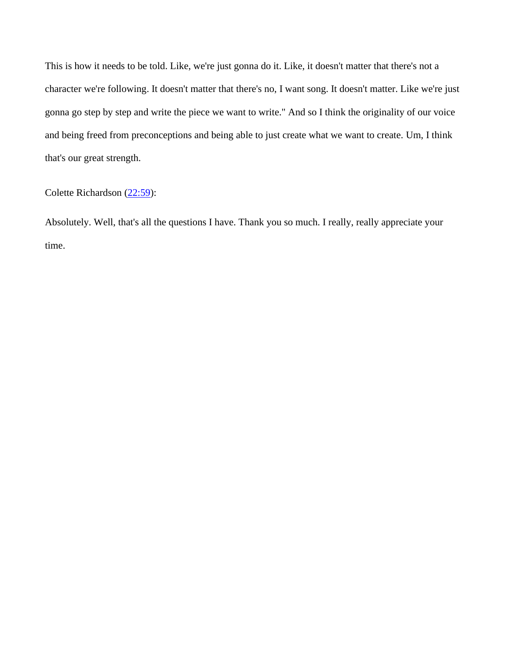This is how it needs to be told. Like, we're just gonna do it. Like, it doesn't matter that there's not a character we're following. It doesn't matter that there's no, I want song. It doesn't matter. Like we're just gonna go step by step and write the piece we want to write." And so I think the originality of our voice and being freed from preconceptions and being able to just create what we want to create. Um, I think that's our great strength.

Colette Richardson [\(22:59\)](https://www.temi.com/editor/t/RKO1Vmj5rsS2yC43BkRLuo19xZenMWUPgDrjaEpaGBIcLBl4vChsaX-QGeMACHTwDhjVJriXpGUL9ZxYGWUqMR-JEqQ?loadFrom=SharedLink&ts=1379.28):

Absolutely. Well, that's all the questions I have. Thank you so much. I really, really appreciate your time.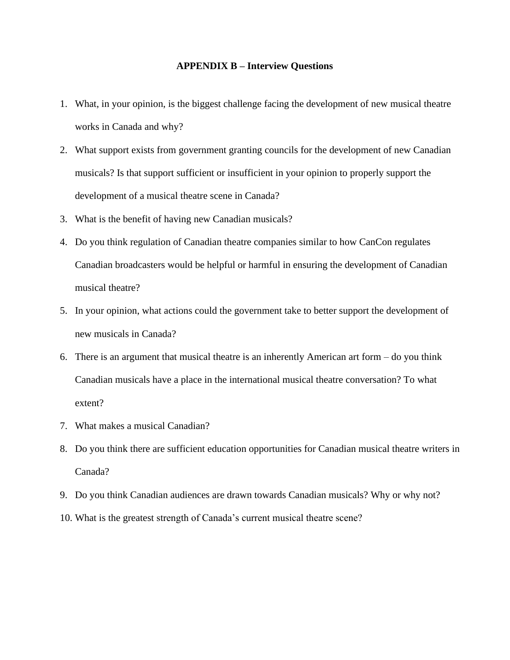## **APPENDIX B – Interview Questions**

- 1. What, in your opinion, is the biggest challenge facing the development of new musical theatre works in Canada and why?
- 2. What support exists from government granting councils for the development of new Canadian musicals? Is that support sufficient or insufficient in your opinion to properly support the development of a musical theatre scene in Canada?
- 3. What is the benefit of having new Canadian musicals?
- 4. Do you think regulation of Canadian theatre companies similar to how CanCon regulates Canadian broadcasters would be helpful or harmful in ensuring the development of Canadian musical theatre?
- 5. In your opinion, what actions could the government take to better support the development of new musicals in Canada?
- 6. There is an argument that musical theatre is an inherently American art form do you think Canadian musicals have a place in the international musical theatre conversation? To what extent?
- 7. What makes a musical Canadian?
- 8. Do you think there are sufficient education opportunities for Canadian musical theatre writers in Canada?
- 9. Do you think Canadian audiences are drawn towards Canadian musicals? Why or why not?
- 10. What is the greatest strength of Canada's current musical theatre scene?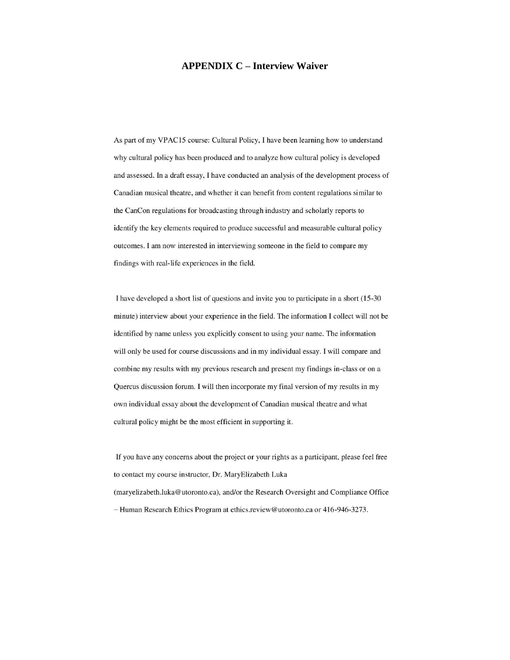## **APPENDIX C – Interview Waiver**

As part of my VPAC15 course: Cultural Policy, I have been learning how to understand why cultural policy has been produced and to analyze how cultural policy is developed and assessed. In a draft essay, I have conducted an analysis of the development process of Canadian musical theatre, and whether it can benefit from content regulations similar to the CanCon regulations for broadcasting through industry and scholarly reports to identify the key elements required to produce successful and measurable cultural policy outcomes. I am now interested in interviewing someone in the field to compare my findings with real-life experiences in the field.

I have developed a short list of questions and invite you to participate in a short (15-30) minute) interview about your experience in the field. The information I collect will not be identified by name unless you explicitly consent to using your name. The information will only be used for course discussions and in my individual essay. I will compare and combine my results with my previous research and present my findings in-class or on a Quercus discussion forum. I will then incorporate my final version of my results in my own individual essay about the development of Canadian musical theatre and what cultural policy might be the most efficient in supporting it.

If you have any concerns about the project or your rights as a participant, please feel free to contact my course instructor, Dr. MaryElizabeth Luka (maryelizabeth.luka@utoronto.ca), and/or the Research Oversight and Compliance Office - Human Research Ethics Program at ethics.review@utoronto.ca or 416-946-3273.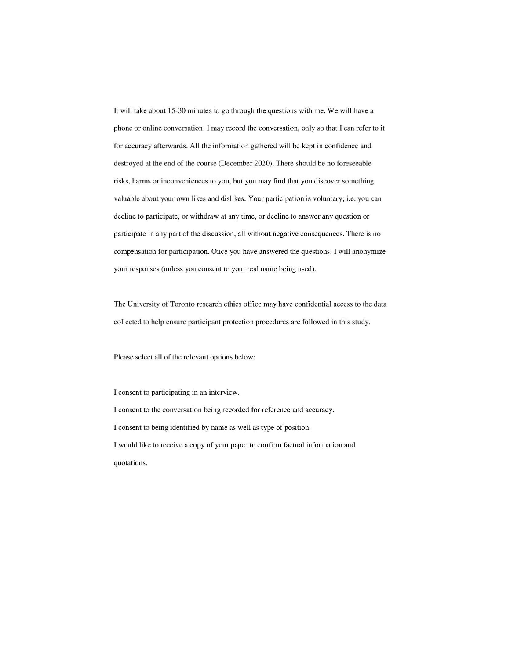It will take about 15-30 minutes to go through the questions with me. We will have a phone or online conversation. I may record the conversation, only so that I can refer to it for accuracy afterwards. All the information gathered will be kept in confidence and destroyed at the end of the course (December 2020). There should be no foreseeable risks, harms or inconveniences to you, but you may find that you discover something valuable about your own likes and dislikes. Your participation is voluntary; i.e. you can decline to participate, or withdraw at any time, or decline to answer any question or participate in any part of the discussion, all without negative consequences. There is no compensation for participation. Once you have answered the questions, I will anonymize your responses (unless you consent to your real name being used).

The University of Toronto research ethics office may have confidential access to the data collected to help ensure participant protection procedures are followed in this study.

Please select all of the relevant options below:

I consent to participating in an interview. I consent to the conversation being recorded for reference and accuracy. I consent to being identified by name as well as type of position. I would like to receive a copy of your paper to confirm factual information and quotations.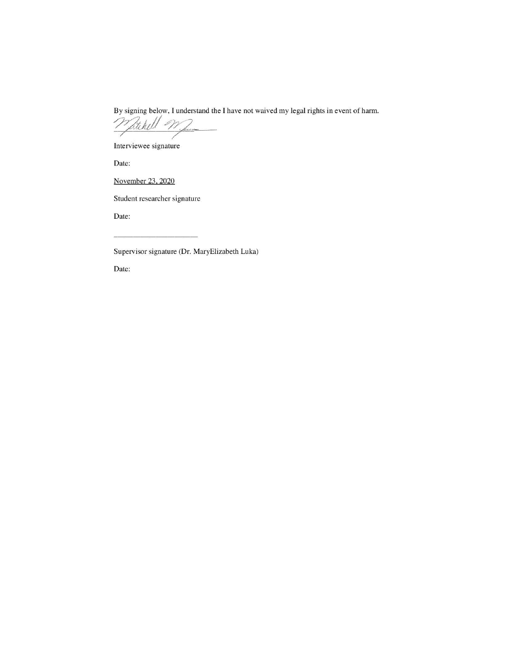By signing below, I understand the I have not waived my legal rights in event of harm.

Whitehell When

Interviewee signature

Date:

November 23, 2020

Student researcher signature

Date:

Supervisor signature (Dr. MaryElizabeth Luka)

Date: